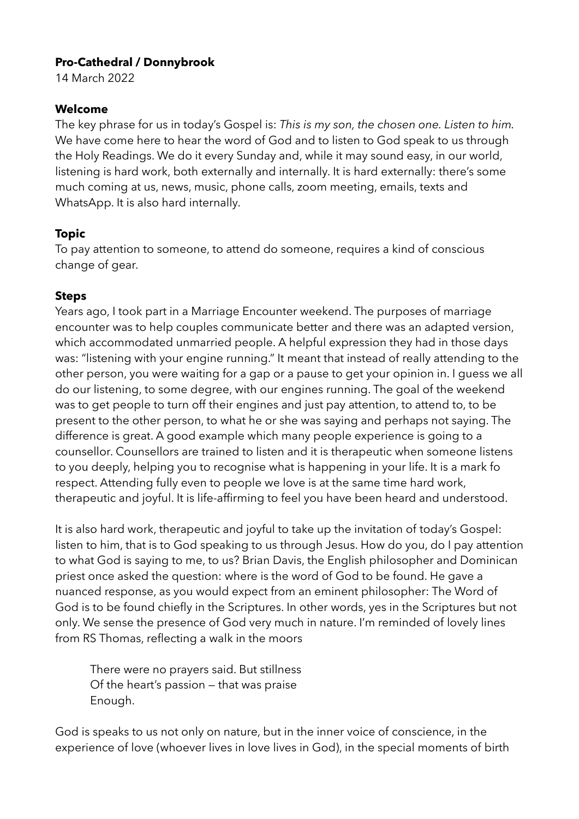## **Pro-Cathedral / Donnybrook**

14 March 2022

## **Welcome**

The key phrase for us in today's Gospel is: *This is my son, the chosen one. Listen to him.*  We have come here to hear the word of God and to listen to God speak to us through the Holy Readings. We do it every Sunday and, while it may sound easy, in our world, listening is hard work, both externally and internally. It is hard externally: there's some much coming at us, news, music, phone calls, zoom meeting, emails, texts and WhatsApp. It is also hard internally.

# **Topic**

To pay attention to someone, to attend do someone, requires a kind of conscious change of gear.

## **Steps**

Years ago, I took part in a Marriage Encounter weekend. The purposes of marriage encounter was to help couples communicate better and there was an adapted version, which accommodated unmarried people. A helpful expression they had in those days was: "listening with your engine running." It meant that instead of really attending to the other person, you were waiting for a gap or a pause to get your opinion in. I guess we all do our listening, to some degree, with our engines running. The goal of the weekend was to get people to turn off their engines and just pay attention, to attend to, to be present to the other person, to what he or she was saying and perhaps not saying. The difference is great. A good example which many people experience is going to a counsellor. Counsellors are trained to listen and it is therapeutic when someone listens to you deeply, helping you to recognise what is happening in your life. It is a mark fo respect. Attending fully even to people we love is at the same time hard work, therapeutic and joyful. It is life-affirming to feel you have been heard and understood.

It is also hard work, therapeutic and joyful to take up the invitation of today's Gospel: listen to him, that is to God speaking to us through Jesus. How do you, do I pay attention to what God is saying to me, to us? Brian Davis, the English philosopher and Dominican priest once asked the question: where is the word of God to be found. He gave a nuanced response, as you would expect from an eminent philosopher: The Word of God is to be found chiefly in the Scriptures. In other words, yes in the Scriptures but not only. We sense the presence of God very much in nature. I'm reminded of lovely lines from RS Thomas, reflecting a walk in the moors

There were no prayers said. But stillness Of the heart's passion — that was praise Enough.

God is speaks to us not only on nature, but in the inner voice of conscience, in the experience of love (whoever lives in love lives in God), in the special moments of birth